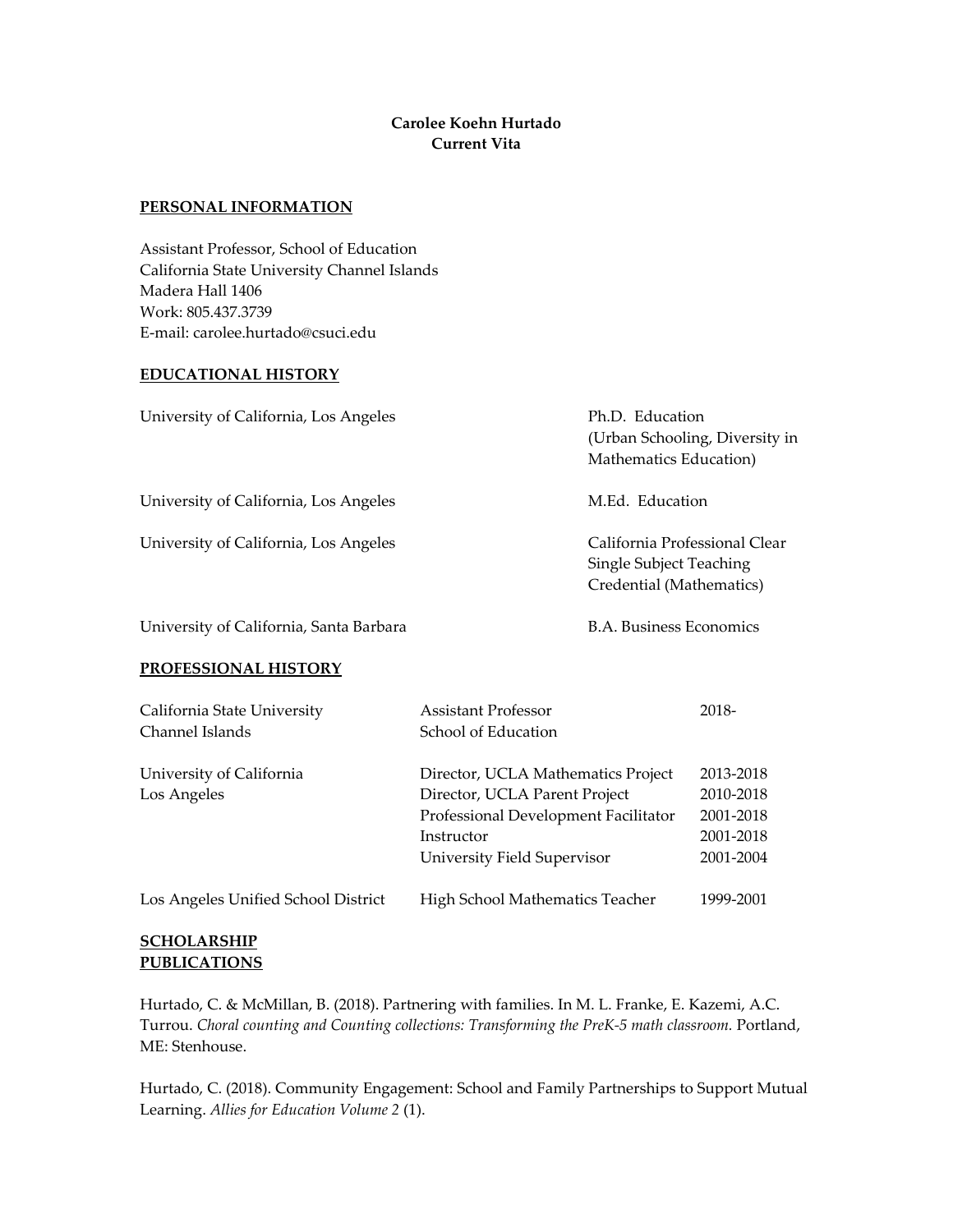# **Carolee Koehn Hurtado Current Vita**

#### **PERSONAL INFORMATION**

Assistant Professor, School of Education California State University Channel Islands Madera Hall 1406 Work: 805.437.3739 E-mail: carolee.hurtado@csuci.edu

### **EDUCATIONAL HISTORY**

| University of California, Los Angeles | Ph.D. Education<br>(Urban Schooling, Diversity in<br>Mathematics Education)          |
|---------------------------------------|--------------------------------------------------------------------------------------|
| University of California, Los Angeles | M.Ed. Education                                                                      |
| University of California, Los Angeles | California Professional Clear<br>Single Subject Teaching<br>Credential (Mathematics) |

University of California, Santa Barbara B.A. Business Economics

#### **PROFESSIONAL HISTORY**

| California State University<br>Channel Islands | <b>Assistant Professor</b><br>School of Education                                                                                                        | 2018-                                                         |
|------------------------------------------------|----------------------------------------------------------------------------------------------------------------------------------------------------------|---------------------------------------------------------------|
| University of California<br>Los Angeles        | Director, UCLA Mathematics Project<br>Director, UCLA Parent Project<br>Professional Development Facilitator<br>Instructor<br>University Field Supervisor | 2013-2018<br>2010-2018<br>2001-2018<br>2001-2018<br>2001-2004 |
| Los Angeles Unified School District            | High School Mathematics Teacher                                                                                                                          | 1999-2001                                                     |

## **SCHOLARSHIP PUBLICATIONS**

Hurtado, C. & McMillan, B. (2018). Partnering with families. In M. L. Franke, E. Kazemi, A.C. Turrou. *Choral counting and Counting collections: Transforming the PreK-5 math classroom.* Portland, ME: Stenhouse.

Hurtado, C. (2018). Community Engagement: School and Family Partnerships to Support Mutual Learning. *Allies for Education Volume 2* (1).